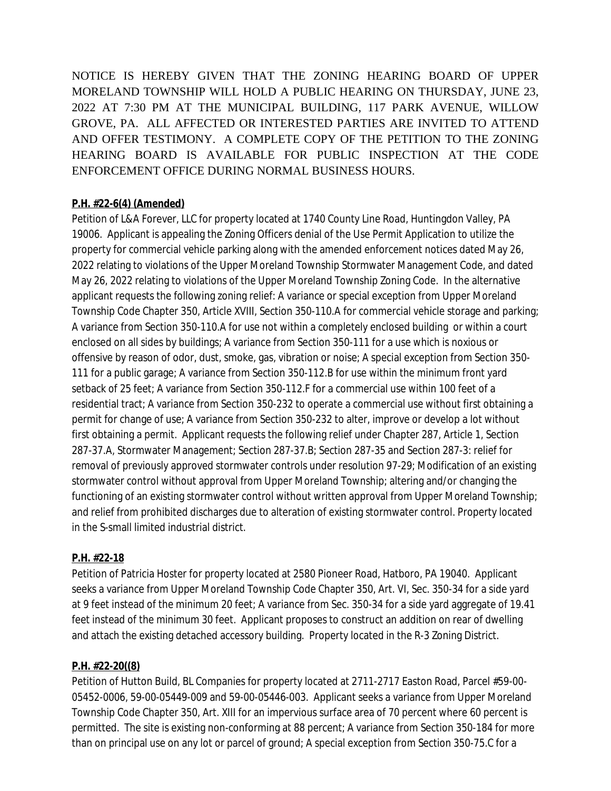NOTICE IS HEREBY GIVEN THAT THE ZONING HEARING BOARD OF UPPER MORELAND TOWNSHIP WILL HOLD A PUBLIC HEARING ON THURSDAY, JUNE 23, 2022 AT 7:30 PM AT THE MUNICIPAL BUILDING, 117 PARK AVENUE, WILLOW GROVE, PA. ALL AFFECTED OR INTERESTED PARTIES ARE INVITED TO ATTEND AND OFFER TESTIMONY. A COMPLETE COPY OF THE PETITION TO THE ZONING HEARING BOARD IS AVAILABLE FOR PUBLIC INSPECTION AT THE CODE ENFORCEMENT OFFICE DURING NORMAL BUSINESS HOURS.

## **P.H. #22-6(4) (Amended)**

Petition of L&A Forever, LLC for property located at 1740 County Line Road, Huntingdon Valley, PA 19006. Applicant is appealing the Zoning Officers denial of the Use Permit Application to utilize the property for commercial vehicle parking along with the amended enforcement notices dated May 26, 2022 relating to violations of the Upper Moreland Township Stormwater Management Code, and dated May 26, 2022 relating to violations of the Upper Moreland Township Zoning Code. In the alternative applicant requests the following zoning relief: A variance or special exception from Upper Moreland Township Code Chapter 350, Article XVIII, Section 350-110.A for commercial vehicle storage and parking; A variance from Section 350-110.A for use not within a completely enclosed building or within a court enclosed on all sides by buildings; A variance from Section 350-111 for a use which is noxious or offensive by reason of odor, dust, smoke, gas, vibration or noise; A special exception from Section 350- 111 for a public garage; A variance from Section 350-112.B for use within the minimum front yard setback of 25 feet; A variance from Section 350-112.F for a commercial use within 100 feet of a residential tract; A variance from Section 350-232 to operate a commercial use without first obtaining a permit for change of use; A variance from Section 350-232 to alter, improve or develop a lot without first obtaining a permit. Applicant requests the following relief under Chapter 287, Article 1, Section 287-37.A, Stormwater Management; Section 287-37.B; Section 287-35 and Section 287-3: relief for removal of previously approved stormwater controls under resolution 97-29; Modification of an existing stormwater control without approval from Upper Moreland Township; altering and/or changing the functioning of an existing stormwater control without written approval from Upper Moreland Township; and relief from prohibited discharges due to alteration of existing stormwater control. Property located in the S-small limited industrial district.

## **P.H. #22-18**

Petition of Patricia Hoster for property located at 2580 Pioneer Road, Hatboro, PA 19040. Applicant seeks a variance from Upper Moreland Township Code Chapter 350, Art. VI, Sec. 350-34 for a side yard at 9 feet instead of the minimum 20 feet; A variance from Sec. 350-34 for a side yard aggregate of 19.41 feet instead of the minimum 30 feet. Applicant proposes to construct an addition on rear of dwelling and attach the existing detached accessory building. Property located in the R-3 Zoning District.

## **P.H. #22-20((8)**

Petition of Hutton Build, BL Companies for property located at 2711-2717 Easton Road, Parcel #59-00- 05452-0006, 59-00-05449-009 and 59-00-05446-003. Applicant seeks a variance from Upper Moreland Township Code Chapter 350, Art. XIII for an impervious surface area of 70 percent where 60 percent is permitted. The site is existing non-conforming at 88 percent; A variance from Section 350-184 for more than on principal use on any lot or parcel of ground; A special exception from Section 350-75.C for a